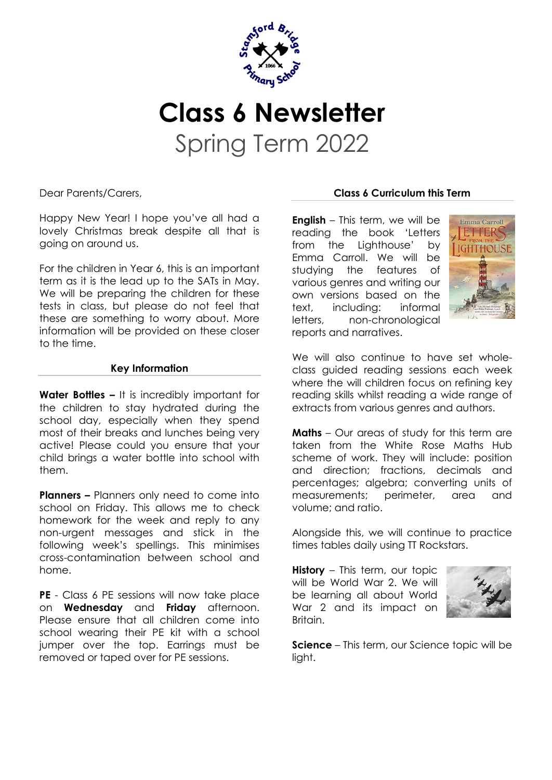

## **Class 6 Newsletter** Spring Term 2022

Dear Parents/Carers,

Happy New Year! I hope you've all had a lovely Christmas break despite all that is going on around us.

For the children in Year 6, this is an important term as it is the lead up to the SATs in May. We will be preparing the children for these tests in class, but please do not feel that these are something to worry about. More information will be provided on these closer to the time.

## **Key Information**

**Water Bottles –** It is incredibly important for the children to stay hydrated during the school day, especially when they spend most of their breaks and lunches being very active! Please could you ensure that your child brings a water bottle into school with them.

**Planners –** Planners only need to come into school on Friday. This allows me to check homework for the week and reply to any non-urgent messages and stick in the following week's spellings. This minimises cross-contamination between school and home.

**PE** - Class 6 PE sessions will now take place on **Wednesday** and **Friday** afternoon. Please ensure that all children come into school wearing their PE kit with a school jumper over the top. Earrings must be removed or taped over for PE sessions.

## **Class 6 Curriculum this Term**

**English** – This term, we will be reading the book 'Letters from the Lighthouse' by Emma Carroll. We will be studying the features of various genres and writing our own versions based on the text, including: informal letters, non-chronological reports and narratives.



We will also continue to have set wholeclass guided reading sessions each week where the will children focus on refining key reading skills whilst reading a wide range of extracts from various genres and authors.

**Maths** – Our areas of study for this term are taken from the White Rose Maths Hub scheme of work. They will include: position and direction; fractions, decimals and percentages; algebra; converting units of measurements; perimeter, area and volume; and ratio.

Alongside this, we will continue to practice times tables daily using TT Rockstars.

**History** – This term, our topic will be World War 2. We will be learning all about World War 2 and its impact on Britain.



**Science** – This term, our Science topic will be light.